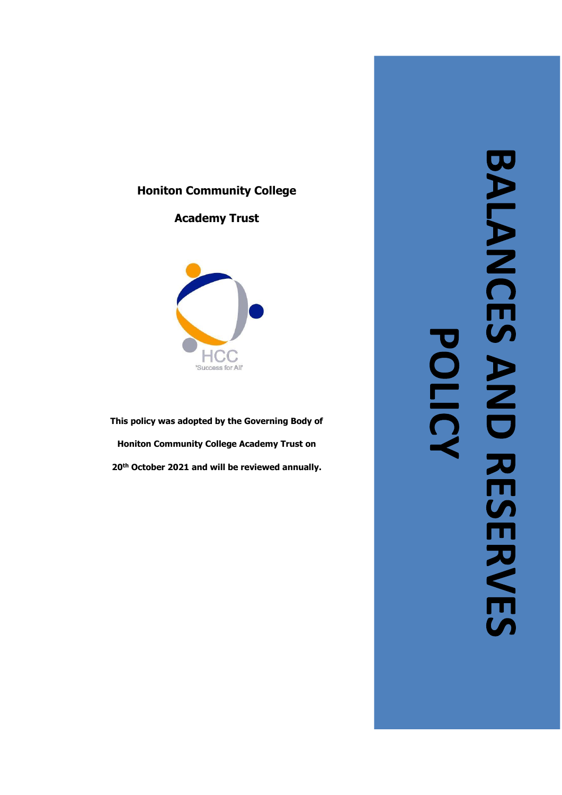## **Honiton Community College**

# **Academy Trust**



**This policy was adopted by the Governing Body of Honiton Community College Academy Trust on 20th October 2021 and will be reviewed annually.** 

BALANCES AND RESERVES POLICY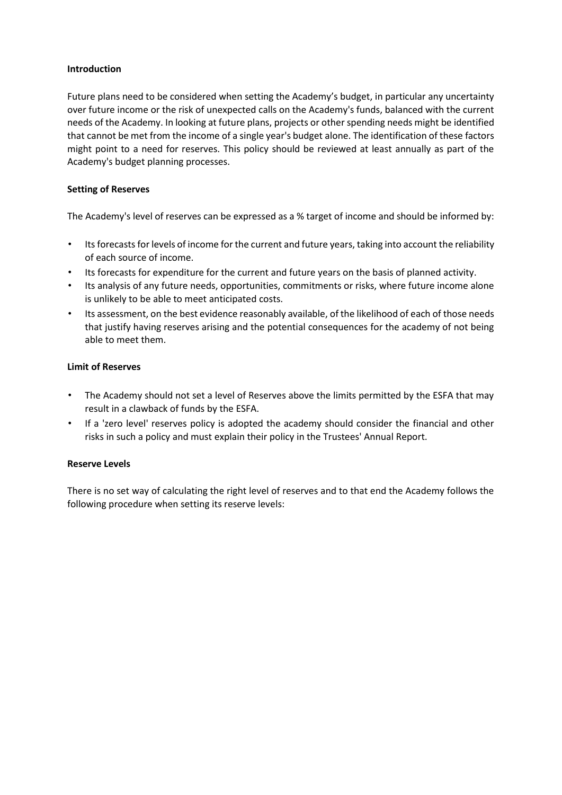## **Introduction**

Future plans need to be considered when setting the Academy's budget, in particular any uncertainty over future income or the risk of unexpected calls on the Academy's funds, balanced with the current needs of the Academy. In looking at future plans, projects or other spending needs might be identified that cannot be met from the income of a single year's budget alone. The identification of these factors might point to a need for reserves. This policy should be reviewed at least annually as part of the Academy's budget planning processes.

## **Setting of Reserves**

The Academy's level of reserves can be expressed as a % target of income and should be informed by:

- Its forecasts for levels of income for the current and future years, taking into account the reliability of each source of income.
- Its forecasts for expenditure for the current and future years on the basis of planned activity.
- Its analysis of any future needs, opportunities, commitments or risks, where future income alone is unlikely to be able to meet anticipated costs.
- Its assessment, on the best evidence reasonably available, of the likelihood of each of those needs that justify having reserves arising and the potential consequences for the academy of not being able to meet them.

## **Limit of Reserves**

- The Academy should not set a level of Reserves above the limits permitted by the ESFA that may result in a clawback of funds by the ESFA.
- If a 'zero level' reserves policy is adopted the academy should consider the financial and other risks in such a policy and must explain their policy in the Trustees' Annual Report.

#### **Reserve Levels**

There is no set way of calculating the right level of reserves and to that end the Academy follows the following procedure when setting its reserve levels: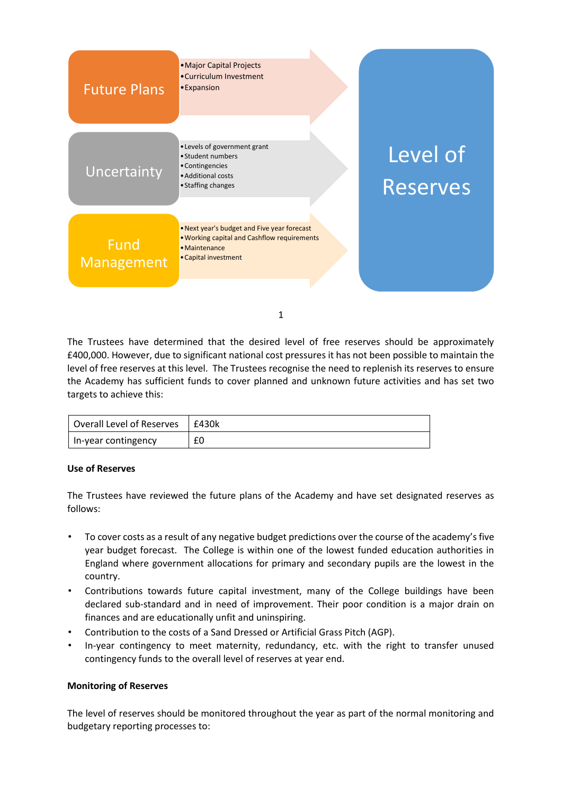| <b>Future Plans</b>       | • Major Capital Projects<br>•Curriculum Investment<br>• Expansion                                                                   |                      |
|---------------------------|-------------------------------------------------------------------------------------------------------------------------------------|----------------------|
| Uncertainty               | • Levels of government grant<br>• Student numbers<br>• Contingencies<br>• Additional costs<br>• Staffing changes                    | Level of<br>Reserves |
| <b>Fund</b><br>Management | . Next year's budget and Five year forecast<br>. Working capital and Cashflow requirements<br>· Maintenance<br>• Capital investment |                      |

1

The Trustees have determined that the desired level of free reserves should be approximately £400,000. However, due to significant national cost pressures it has not been possible to maintain the level of free reserves at this level. The Trustees recognise the need to replenish its reserves to ensure the Academy has sufficient funds to cover planned and unknown future activities and has set two targets to achieve this:

| Overall Level of Reserves | £430k |
|---------------------------|-------|
| In-year contingency       |       |

#### **Use of Reserves**

The Trustees have reviewed the future plans of the Academy and have set designated reserves as follows:

- To cover costs as a result of any negative budget predictions over the course of the academy's five year budget forecast. The College is within one of the lowest funded education authorities in England where government allocations for primary and secondary pupils are the lowest in the country.
- Contributions towards future capital investment, many of the College buildings have been declared sub-standard and in need of improvement. Their poor condition is a major drain on finances and are educationally unfit and uninspiring.
- Contribution to the costs of a Sand Dressed or Artificial Grass Pitch (AGP).
- In-year contingency to meet maternity, redundancy, etc. with the right to transfer unused contingency funds to the overall level of reserves at year end.

#### **Monitoring of Reserves**

The level of reserves should be monitored throughout the year as part of the normal monitoring and budgetary reporting processes to: